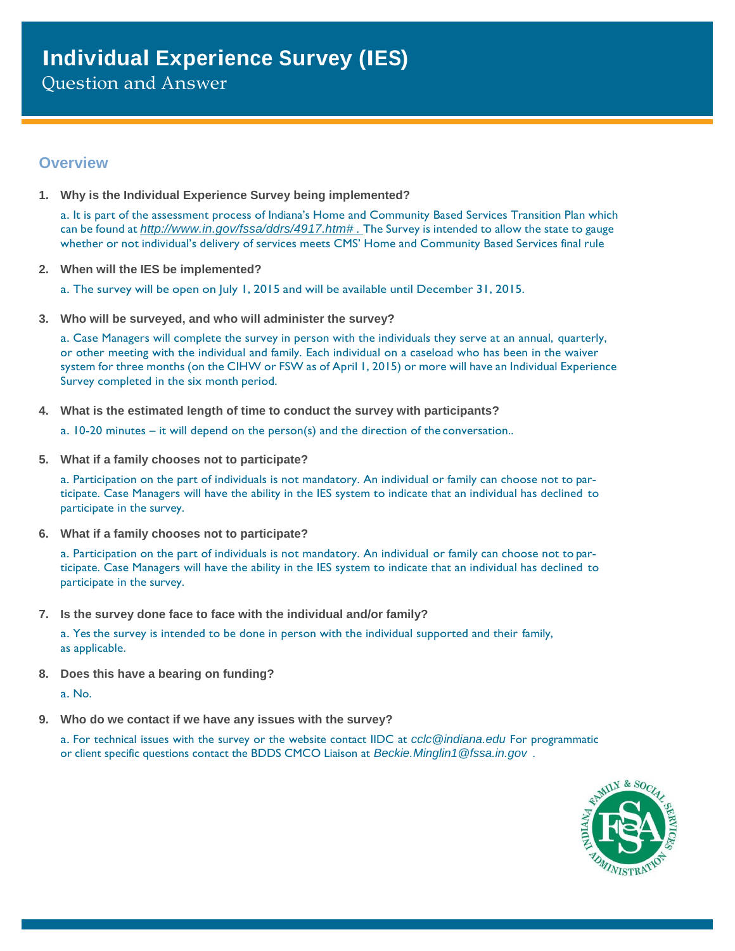Question and Answer

## **Overview**

**1. Why is the Individual Experience Survey being implemented?**

a. It is part of the assessment process of Indiana's Home and Community Based Services Transition Plan which can be found at *[http://www.in.gov/fssa/ddrs/4917.htm#](http://www.in.gov/fssa/ddrs/4917.htm) .* The Survey is intended to allow the state to gauge whether or not individual's delivery of services meets CMS' Home and Community Based Services final rule

- **2. When will the IES be implemented?**
	- a. The survey will be open on July 1, 2015 and will be available until December 31, 2015.
- **3. Who will be surveyed, and who will administer the survey?**

a. Case Managers will complete the survey in person with the individuals they serve at an annual, quarterly, or other meeting with the individual and family. Each individual on a caseload who has been in the waiver system for three months (on the CIHW or FSW as of April 1, 2015) or more will have an Individual Experience Survey completed in the six month period.

**4. What is the estimated length of time to conduct the survey with participants?**

a. 10-20 minutes – it will depend on the person(s) and the direction of the conversation..

**5. What if a family chooses not to participate?**

a. Participation on the part of individuals is not mandatory. An individual or family can choose not to participate. Case Managers will have the ability in the IES system to indicate that an individual has declined to participate in the survey.

**6. What if a family chooses not to participate?**

a. Participation on the part of individuals is not mandatory. An individual or family can choose not to participate. Case Managers will have the ability in the IES system to indicate that an individual has declined to participate in the survey.

**7. Is the survey done face to face with the individual and/or family?**

a. Yes the survey is intended to be done in person with the individual supported and their family, as applicable.

**8. Does this have a bearing on funding?**

a. No.

**9. Who do we contact if we have any issues with the survey?**

a. For technical issues with the survey or the website contact IIDC at *[cclc@indiana.edu](mailto:cclc@indiana.edu)* For programmatic or client specific questions contact the BDDS CMCO Liaison at *[Beckie.Minglin1@fssa.in.gov](mailto:Beckie.Minglin1@fssa.in.gov) .*

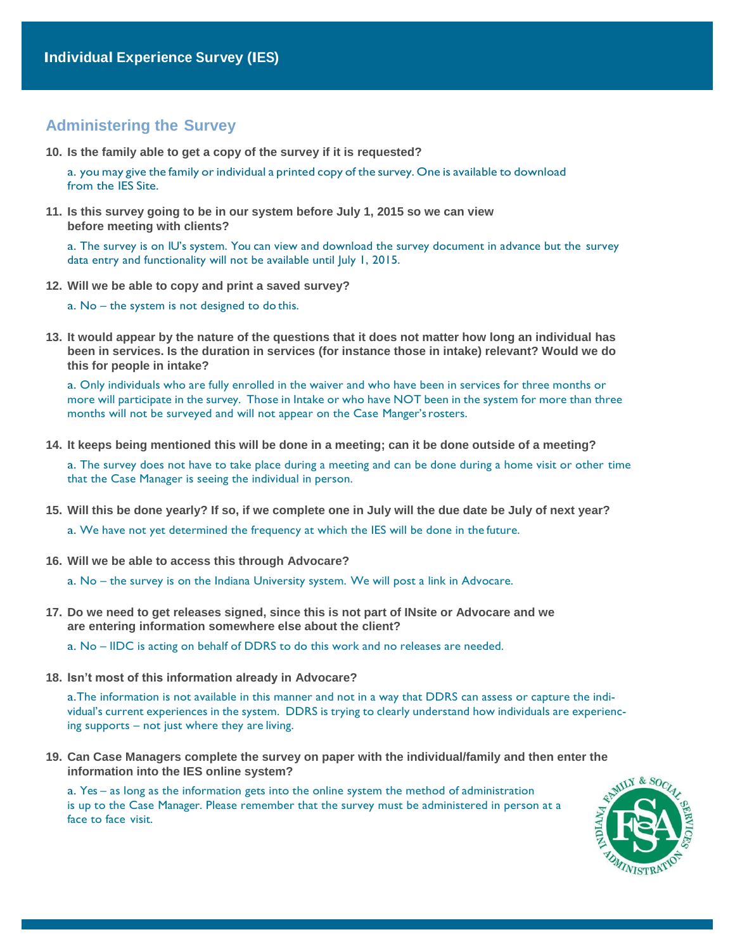## **Administering the Survey**

**10. Is the family able to get a copy of the survey if it is requested?**

a. you may give the family or individual a printed copy of the survey. One is available to download from the IES Site.

**11. Is this survey going to be in our system before July 1, 2015 so we can view before meeting with clients?**

a. The survey is on IU's system. You can view and download the survey document in advance but the survey data entry and functionality will not be available until July 1, 2015.

**12. Will we be able to copy and print a saved survey?**

a. No – the system is not designed to do this.

**13. It would appear by the nature of the questions that it does not matter how long an individual has been in services. Is the duration in services (for instance those in intake) relevant? Would we do this for people in intake?**

a. Only individuals who are fully enrolled in the waiver and who have been in services for three months or more will participate in the survey. Those in Intake or who have NOT been in the system for more than three months will not be surveyed and will not appear on the Case Manger'srosters.

**14. It keeps being mentioned this will be done in a meeting; can it be done outside of a meeting?**

a. The survey does not have to take place during a meeting and can be done during a home visit or other time that the Case Manager is seeing the individual in person.

**15. Will this be done yearly? If so, if we complete one in July will the due date be July of next year?**

a. We have not yet determined the frequency at which the IES will be done in the future.

**16. Will we be able to access this through Advocare?**

a. No – the survey is on the Indiana University system. We will post a link in Advocare.

**17. Do we need to get releases signed, since this is not part of INsite or Advocare and we are entering information somewhere else about the client?**

a. No – IIDC is acting on behalf of DDRS to do this work and no releases are needed.

**18. Isn't most of this information already in Advocare?**

a.The information is not available in this manner and not in a way that DDRS can assess or capture the individual's current experiences in the system. DDRS is trying to clearly understand how individuals are experiencing supports – not just where they are living.

**19. Can Case Managers complete the survey on paper with the individual/family and then enter the information into the IES online system?**

a. Yes – as long as the information gets into the online system the method of administration is up to the Case Manager. Please remember that the survey must be administered in person at a face to face visit.

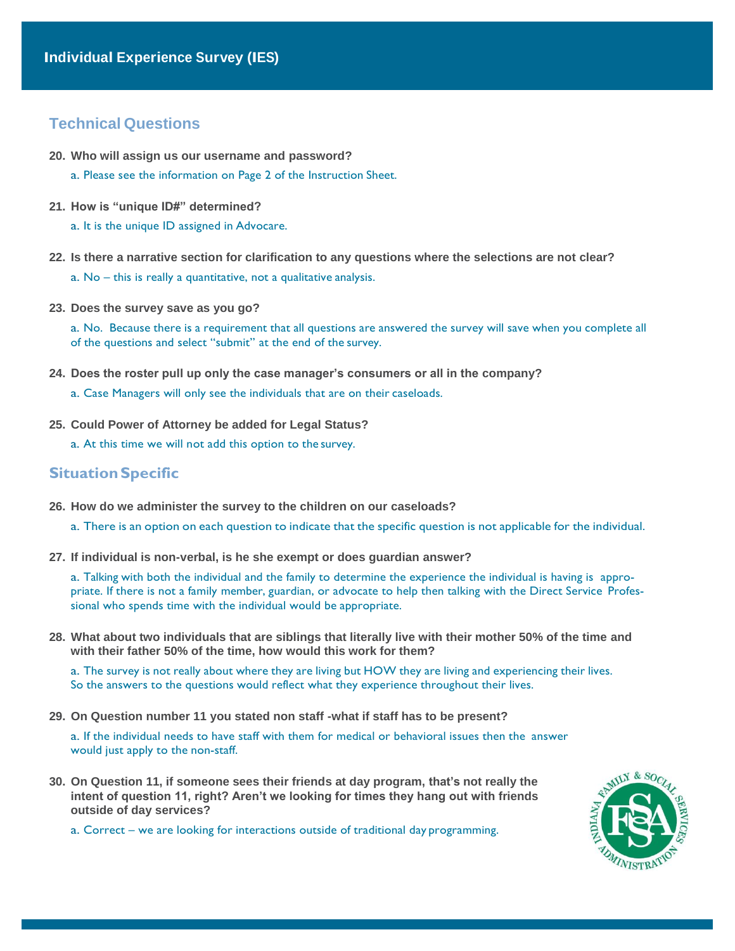## **Technical Questions**

- **20. Who will assign us our username and password?**
	- a. Please see the information on Page 2 of the Instruction Sheet.
- **21. How is "unique ID#" determined?**
	- a. It is the unique ID assigned in Advocare.
- **22. Is there a narrative section for clarification to any questions where the selections are not clear?**
	- a. No this is really a quantitative, not a qualitative analysis.
- **23. Does the survey save as you go?**

a. No. Because there is a requirement that all questions are answered the survey will save when you complete all of the questions and select "submit" at the end of the survey.

- **24. Does the roster pull up only the case manager's consumers or all in the company?**
	- a. Case Managers will only see the individuals that are on their caseloads.
- **25. Could Power of Attorney be added for Legal Status?**
	- a. At this time we will not add this option to the survey.

## **SituationSpecific**

- **26. How do we administer the survey to the children on our caseloads?**
	- a. There is an option on each question to indicate that the specific question is not applicable for the individual.
- **27. If individual is non-verbal, is he she exempt or does guardian answer?**

a. Talking with both the individual and the family to determine the experience the individual is having is appropriate. If there is not a family member, guardian, or advocate to help then talking with the Direct Service Professional who spends time with the individual would be appropriate.

**28. What about two individuals that are siblings that literally live with their mother 50% of the time and with their father 50% of the time, how would this work for them?**

a. The survey is not really about where they are living but HOW they are living and experiencing their lives. So the answers to the questions would reflect what they experience throughout their lives.

**29. On Question number 11 you stated non staff -what if staff has to be present?**

a. If the individual needs to have staff with them for medical or behavioral issues then the answer would just apply to the non-staff.

**30. On Question 11, if someone sees their friends at day program, that's not really the intent of question 11, right? Aren't we looking for times they hang out with friends outside of day services?**

a. Correct – we are looking for interactions outside of traditional day programming.

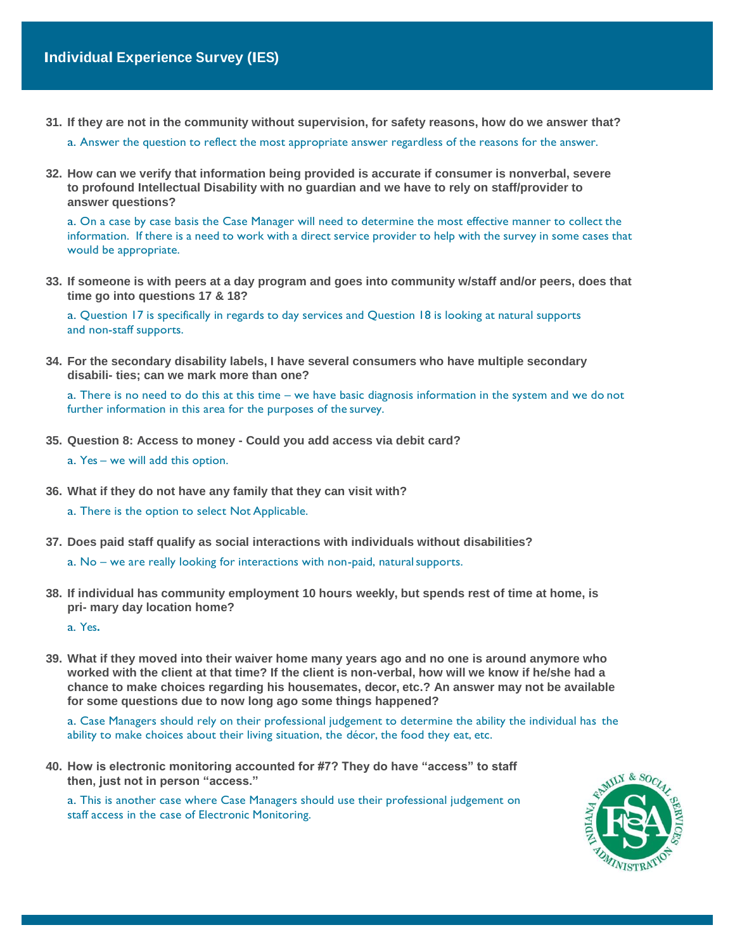**31. If they are not in the community without supervision, for safety reasons, how do we answer that?**

a. Answer the question to reflect the most appropriate answer regardless of the reasons for the answer.

**32. How can we verify that information being provided is accurate if consumer is nonverbal, severe to profound Intellectual Disability with no guardian and we have to rely on staff/provider to answer questions?**

a. On a case by case basis the Case Manager will need to determine the most effective manner to collect the information. If there is a need to work with a direct service provider to help with the survey in some cases that would be appropriate.

**33. If someone is with peers at a day program and goes into community w/staff and/or peers, does that time go into questions 17 & 18?**

a. Question 17 is specifically in regards to day services and Question 18 is looking at natural supports and non-staff supports.

**34. For the secondary disability labels, I have several consumers who have multiple secondary disabili- ties; can we mark more than one?**

a. There is no need to do this at this time – we have basic diagnosis information in the system and we do not further information in this area for the purposes of the survey.

- **35. Question 8: Access to money - Could you add access via debit card?**
	- a. Yes we will add this option.
- **36. What if they do not have any family that they can visit with?**
	- a. There is the option to select Not Applicable.
- **37. Does paid staff qualify as social interactions with individuals without disabilities?**

a. No – we are really looking for interactions with non-paid, naturalsupports.

**38. If individual has community employment 10 hours weekly, but spends rest of time at home, is pri- mary day location home?**

a. Yes**.**

**39. What if they moved into their waiver home many years ago and no one is around anymore who worked with the client at that time? If the client is non-verbal, how will we know if he/she had a chance to make choices regarding his housemates, decor, etc.? An answer may not be available for some questions due to now long ago some things happened?**

a. Case Managers should rely on their professional judgement to determine the ability the individual has the ability to make choices about their living situation, the décor, the food they eat, etc.

**40. How is electronic monitoring accounted for #7? They do have "access" to staff then, just not in person "access."**

a. This is another case where Case Managers should use their professional judgement on staff access in the case of Electronic Monitoring.